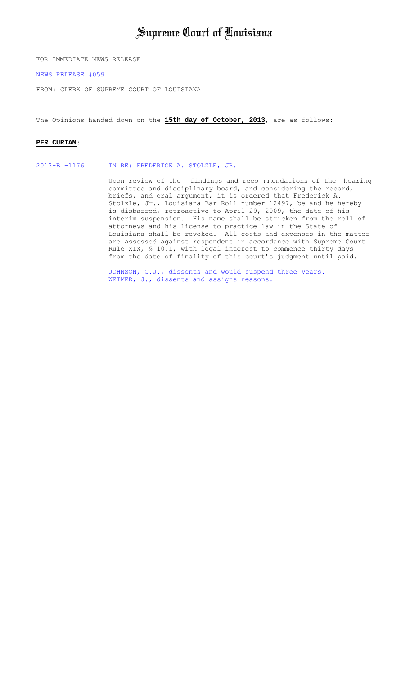# Supreme Court of Louisiana

FOR IMMEDIATE NEWS RELEASE

[NEWS RELEASE #059](http://www.lasc.org/Opinions?p=2013-059)

FROM: CLERK OF SUPREME COURT OF LOUISIANA

The Opinions handed down on the **15th day of October, 2013**, are as follows:

#### **PER CURIAM**:

[2013-B -1176 IN RE: FREDERICK A. STOLZLE, JR.](#page-1-0) 

Upon review of the findings and reco mmendations of the hearing committee and disciplinary board, and considering the record, briefs, and oral argument, it is ordered that Frederick A. Stolzle, Jr., Louisiana Bar Roll number 12497, be and he hereby is disbarred, retroactive to April 29, 2009, the date of his interim suspension. His name shall be stricken from the roll of attorneys and his license to practice law in the State of Louisiana shall be revoked. All costs and expenses in the matter are assessed against respondent in accordance with Supreme Court Rule XIX, § 10.1, with legal interest to commence thirty days from the date of finality of this court's judgment until paid.

[JOHNSON, C.J., dissents and would suspend three years.](#page-11-0)  WEIMER, J., dissents and assigns reasons.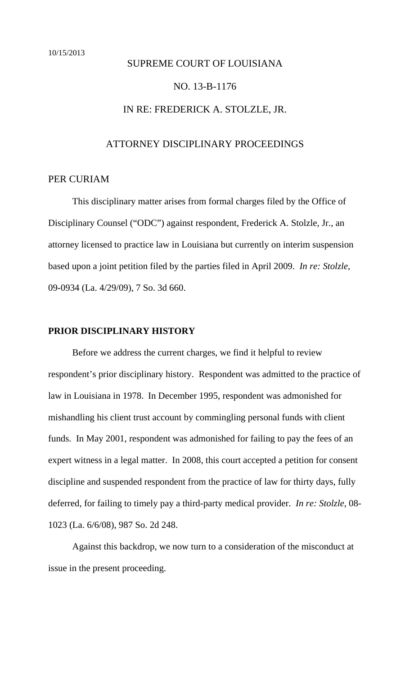# <span id="page-1-0"></span>SUPREME COURT OF LOUISIANA

## NO. 13-B-1176

## IN RE: FREDERICK A. STOLZLE, JR.

# ATTORNEY DISCIPLINARY PROCEEDINGS

#### PER CURIAM

 This disciplinary matter arises from formal charges filed by the Office of Disciplinary Counsel ("ODC") against respondent, Frederick A. Stolzle, Jr., an attorney licensed to practice law in Louisiana but currently on interim suspension based upon a joint petition filed by the parties filed in April 2009. *In re: Stolzle*, 09-0934 (La. 4/29/09), 7 So. 3d 660.

#### **PRIOR DISCIPLINARY HISTORY**

Before we address the current charges, we find it helpful to review respondent's prior disciplinary history. Respondent was admitted to the practice of law in Louisiana in 1978. In December 1995, respondent was admonished for mishandling his client trust account by commingling personal funds with client funds. In May 2001, respondent was admonished for failing to pay the fees of an expert witness in a legal matter. In 2008, this court accepted a petition for consent discipline and suspended respondent from the practice of law for thirty days, fully deferred, for failing to timely pay a third-party medical provider. *In re: Stolzle*, 08- 1023 (La. 6/6/08), 987 So. 2d 248.

Against this backdrop, we now turn to a consideration of the misconduct at issue in the present proceeding.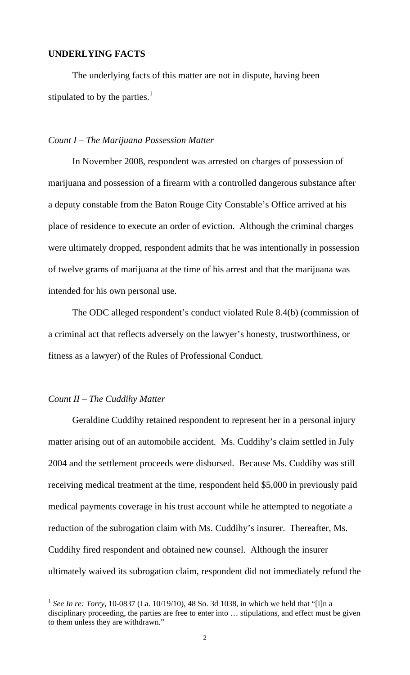## **UNDERLYING FACTS**

The underlying facts of this matter are not in dispute, having been stipulated to by the parties. $<sup>1</sup>$ </sup>

#### *Count I – The Marijuana Possession Matter*

In November 2008, respondent was arrested on charges of possession of marijuana and possession of a firearm with a controlled dangerous substance after a deputy constable from the Baton Rouge City Constable's Office arrived at his place of residence to execute an order of eviction. Although the criminal charges were ultimately dropped, respondent admits that he was intentionally in possession of twelve grams of marijuana at the time of his arrest and that the marijuana was intended for his own personal use.

The ODC alleged respondent's conduct violated Rule 8.4(b) (commission of a criminal act that reflects adversely on the lawyer's honesty, trustworthiness, or fitness as a lawyer) of the Rules of Professional Conduct.

#### *Count II – The Cuddihy Matter*

 $\overline{a}$ 

Geraldine Cuddihy retained respondent to represent her in a personal injury matter arising out of an automobile accident. Ms. Cuddihy's claim settled in July 2004 and the settlement proceeds were disbursed. Because Ms. Cuddihy was still receiving medical treatment at the time, respondent held \$5,000 in previously paid medical payments coverage in his trust account while he attempted to negotiate a reduction of the subrogation claim with Ms. Cuddihy's insurer. Thereafter, Ms. Cuddihy fired respondent and obtained new counsel. Although the insurer ultimately waived its subrogation claim, respondent did not immediately refund the

<sup>1</sup> *See In re: Torry*, 10-0837 (La. 10/19/10), 48 So. 3d 1038, in which we held that "[i]n a disciplinary proceeding, the parties are free to enter into … stipulations, and effect must be given to them unless they are withdrawn."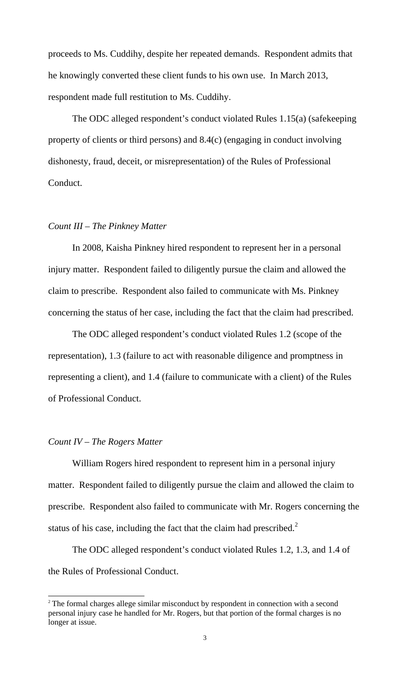proceeds to Ms. Cuddihy, despite her repeated demands. Respondent admits that he knowingly converted these client funds to his own use. In March 2013, respondent made full restitution to Ms. Cuddihy.

The ODC alleged respondent's conduct violated Rules 1.15(a) (safekeeping property of clients or third persons) and 8.4(c) (engaging in conduct involving dishonesty, fraud, deceit, or misrepresentation) of the Rules of Professional Conduct.

#### *Count III – The Pinkney Matter*

 In 2008, Kaisha Pinkney hired respondent to represent her in a personal injury matter. Respondent failed to diligently pursue the claim and allowed the claim to prescribe. Respondent also failed to communicate with Ms. Pinkney concerning the status of her case, including the fact that the claim had prescribed.

The ODC alleged respondent's conduct violated Rules 1.2 (scope of the representation), 1.3 (failure to act with reasonable diligence and promptness in representing a client), and 1.4 (failure to communicate with a client) of the Rules of Professional Conduct.

#### *Count IV – The Rogers Matter*

 $\overline{a}$ 

William Rogers hired respondent to represent him in a personal injury matter. Respondent failed to diligently pursue the claim and allowed the claim to prescribe. Respondent also failed to communicate with Mr. Rogers concerning the status of his case, including the fact that the claim had prescribed. $2^2$ 

The ODC alleged respondent's conduct violated Rules 1.2, 1.3, and 1.4 of the Rules of Professional Conduct.

<sup>&</sup>lt;sup>2</sup> The formal charges allege similar misconduct by respondent in connection with a second personal injury case he handled for Mr. Rogers, but that portion of the formal charges is no longer at issue.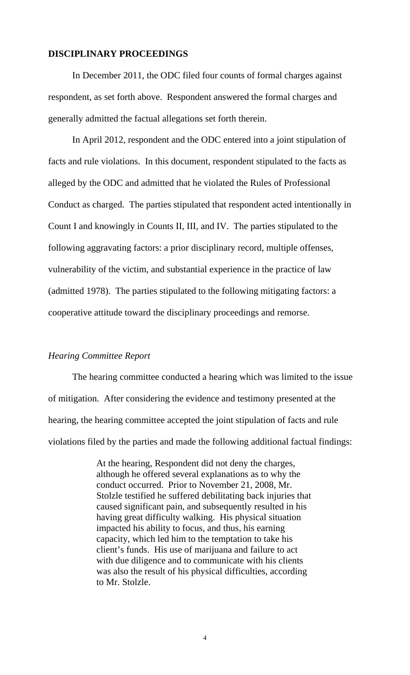#### **DISCIPLINARY PROCEEDINGS**

 In December 2011, the ODC filed four counts of formal charges against respondent, as set forth above. Respondent answered the formal charges and generally admitted the factual allegations set forth therein.

In April 2012, respondent and the ODC entered into a joint stipulation of facts and rule violations. In this document, respondent stipulated to the facts as alleged by the ODC and admitted that he violated the Rules of Professional Conduct as charged. The parties stipulated that respondent acted intentionally in Count I and knowingly in Counts II, III, and IV. The parties stipulated to the following aggravating factors: a prior disciplinary record, multiple offenses, vulnerability of the victim, and substantial experience in the practice of law (admitted 1978). The parties stipulated to the following mitigating factors: a cooperative attitude toward the disciplinary proceedings and remorse.

#### *Hearing Committee Report*

The hearing committee conducted a hearing which was limited to the issue of mitigation. After considering the evidence and testimony presented at the hearing, the hearing committee accepted the joint stipulation of facts and rule violations filed by the parties and made the following additional factual findings:

> At the hearing, Respondent did not deny the charges, although he offered several explanations as to why the conduct occurred. Prior to November 21, 2008, Mr. Stolzle testified he suffered debilitating back injuries that caused significant pain, and subsequently resulted in his having great difficulty walking. His physical situation impacted his ability to focus, and thus, his earning capacity, which led him to the temptation to take his client's funds. His use of marijuana and failure to act with due diligence and to communicate with his clients was also the result of his physical difficulties, according to Mr. Stolzle.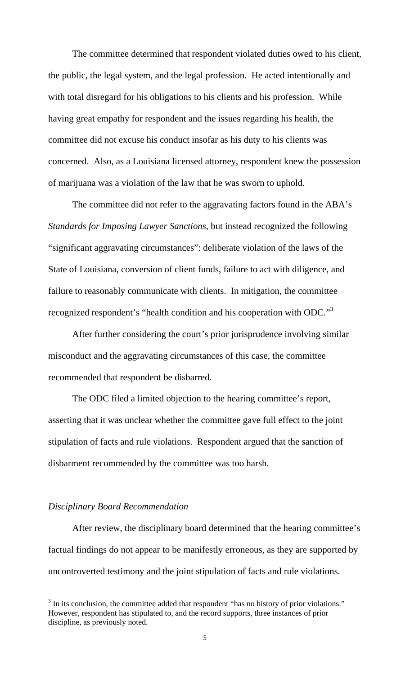The committee determined that respondent violated duties owed to his client, the public, the legal system, and the legal profession. He acted intentionally and with total disregard for his obligations to his clients and his profession. While having great empathy for respondent and the issues regarding his health, the committee did not excuse his conduct insofar as his duty to his clients was concerned. Also, as a Louisiana licensed attorney, respondent knew the possession of marijuana was a violation of the law that he was sworn to uphold.

The committee did not refer to the aggravating factors found in the ABA's *Standards for Imposing Lawyer Sanctions*, but instead recognized the following "significant aggravating circumstances": deliberate violation of the laws of the State of Louisiana, conversion of client funds, failure to act with diligence, and failure to reasonably communicate with clients. In mitigation, the committee recognized respondent's "health condition and his cooperation with ODC."<sup>3</sup>

After further considering the court's prior jurisprudence involving similar misconduct and the aggravating circumstances of this case, the committee recommended that respondent be disbarred.

The ODC filed a limited objection to the hearing committee's report, asserting that it was unclear whether the committee gave full effect to the joint stipulation of facts and rule violations. Respondent argued that the sanction of disbarment recommended by the committee was too harsh.

#### *Disciplinary Board Recommendation*

 $\overline{a}$ 

After review, the disciplinary board determined that the hearing committee's factual findings do not appear to be manifestly erroneous, as they are supported by uncontroverted testimony and the joint stipulation of facts and rule violations.

 $3$  In its conclusion, the committee added that respondent "has no history of prior violations." However, respondent has stipulated to, and the record supports, three instances of prior discipline, as previously noted.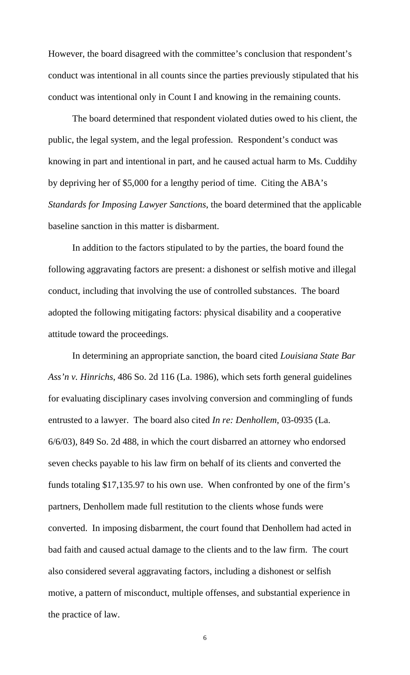However, the board disagreed with the committee's conclusion that respondent's conduct was intentional in all counts since the parties previously stipulated that his conduct was intentional only in Count I and knowing in the remaining counts.

The board determined that respondent violated duties owed to his client, the public, the legal system, and the legal profession. Respondent's conduct was knowing in part and intentional in part, and he caused actual harm to Ms. Cuddihy by depriving her of \$5,000 for a lengthy period of time. Citing the ABA's *Standards for Imposing Lawyer Sanctions*, the board determined that the applicable baseline sanction in this matter is disbarment.

In addition to the factors stipulated to by the parties, the board found the following aggravating factors are present: a dishonest or selfish motive and illegal conduct, including that involving the use of controlled substances. The board adopted the following mitigating factors: physical disability and a cooperative attitude toward the proceedings.

In determining an appropriate sanction, the board cited *Louisiana State Bar Ass'n v. Hinrichs*, 486 So. 2d 116 (La. 1986), which sets forth general guidelines for evaluating disciplinary cases involving conversion and commingling of funds entrusted to a lawyer. The board also cited *In re: Denhollem*, 03-0935 (La. 6/6/03), 849 So. 2d 488, in which the court disbarred an attorney who endorsed seven checks payable to his law firm on behalf of its clients and converted the funds totaling \$17,135.97 to his own use. When confronted by one of the firm's partners, Denhollem made full restitution to the clients whose funds were converted. In imposing disbarment, the court found that Denhollem had acted in bad faith and caused actual damage to the clients and to the law firm. The court also considered several aggravating factors, including a dishonest or selfish motive, a pattern of misconduct, multiple offenses, and substantial experience in the practice of law.

6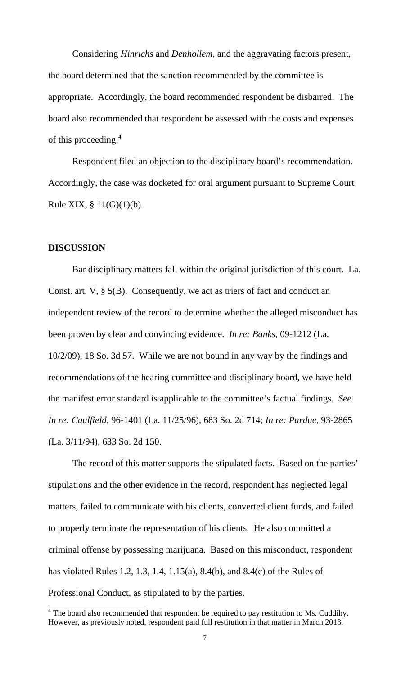Considering *Hinrichs* and *Denhollem*, and the aggravating factors present, the board determined that the sanction recommended by the committee is appropriate. Accordingly, the board recommended respondent be disbarred. The board also recommended that respondent be assessed with the costs and expenses of this proceeding.<sup>4</sup>

 Respondent filed an objection to the disciplinary board's recommendation. Accordingly, the case was docketed for oral argument pursuant to Supreme Court Rule XIX,  $\S 11(G)(1)(b)$ .

#### **DISCUSSION**

 $\overline{a}$ 

 Bar disciplinary matters fall within the original jurisdiction of this court. La. Const. art. V, § 5(B). Consequently, we act as triers of fact and conduct an independent review of the record to determine whether the alleged misconduct has been proven by clear and convincing evidence. *In re: Banks*, 09-1212 (La. 10/2/09), 18 So. 3d 57. While we are not bound in any way by the findings and recommendations of the hearing committee and disciplinary board, we have held the manifest error standard is applicable to the committee's factual findings. *See In re: Caulfield*, 96-1401 (La. 11/25/96), 683 So. 2d 714; *In re: Pardue*, 93-2865 (La. 3/11/94), 633 So. 2d 150.

 The record of this matter supports the stipulated facts. Based on the parties' stipulations and the other evidence in the record, respondent has neglected legal matters, failed to communicate with his clients, converted client funds, and failed to properly terminate the representation of his clients. He also committed a criminal offense by possessing marijuana. Based on this misconduct, respondent has violated Rules 1.2, 1.3, 1.4, 1.15(a), 8.4(b), and 8.4(c) of the Rules of Professional Conduct, as stipulated to by the parties.

 $4$  The board also recommended that respondent be required to pay restitution to Ms. Cuddihy. However, as previously noted, respondent paid full restitution in that matter in March 2013.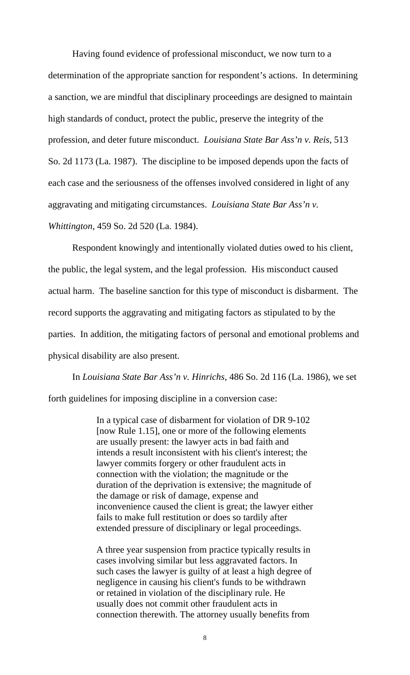Having found evidence of professional misconduct, we now turn to a determination of the appropriate sanction for respondent's actions. In determining a sanction, we are mindful that disciplinary proceedings are designed to maintain high standards of conduct, protect the public, preserve the integrity of the profession, and deter future misconduct. *Louisiana State Bar Ass'n v. Reis*, 513 So. 2d 1173 (La. 1987). The discipline to be imposed depends upon the facts of each case and the seriousness of the offenses involved considered in light of any aggravating and mitigating circumstances. *Louisiana State Bar Ass'n v. Whittington*, 459 So. 2d 520 (La. 1984).

Respondent knowingly and intentionally violated duties owed to his client, the public, the legal system, and the legal profession. His misconduct caused actual harm. The baseline sanction for this type of misconduct is disbarment. The record supports the aggravating and mitigating factors as stipulated to by the parties. In addition, the mitigating factors of personal and emotional problems and physical disability are also present.

In *Louisiana State Bar Ass'n v. Hinrichs*, 486 So. 2d 116 (La. 1986), we set forth guidelines for imposing discipline in a conversion case:

> In a typical case of disbarment for violation of DR 9-102 [now Rule 1.15], one or more of the following elements are usually present: the lawyer acts in bad faith and intends a result inconsistent with his client's interest; the lawyer commits forgery or other fraudulent acts in connection with the violation; the magnitude or the duration of the deprivation is extensive; the magnitude of the damage or risk of damage, expense and inconvenience caused the client is great; the lawyer either fails to make full restitution or does so tardily after extended pressure of disciplinary or legal proceedings.

> A three year suspension from practice typically results in cases involving similar but less aggravated factors. In such cases the lawyer is guilty of at least a high degree of negligence in causing his client's funds to be withdrawn or retained in violation of the disciplinary rule. He usually does not commit other fraudulent acts in connection therewith. The attorney usually benefits from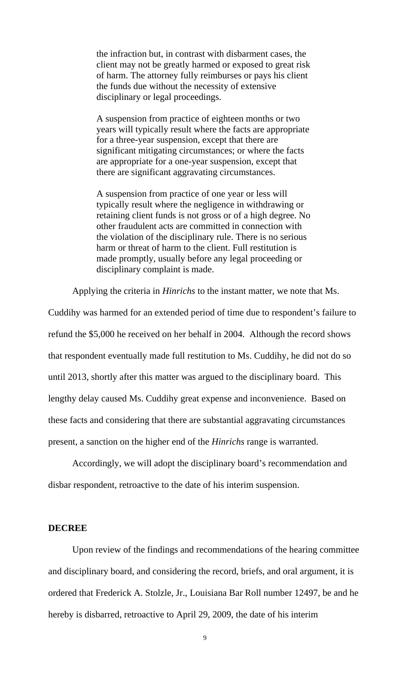the infraction but, in contrast with disbarment cases, the client may not be greatly harmed or exposed to great risk of harm. The attorney fully reimburses or pays his client the funds due without the necessity of extensive disciplinary or legal proceedings.

A suspension from practice of eighteen months or two years will typically result where the facts are appropriate for a three-year suspension, except that there are significant mitigating circumstances; or where the facts are appropriate for a one-year suspension, except that there are significant aggravating circumstances.

A suspension from practice of one year or less will typically result where the negligence in withdrawing or retaining client funds is not gross or of a high degree. No other fraudulent acts are committed in connection with the violation of the disciplinary rule. There is no serious harm or threat of harm to the client. Full restitution is made promptly, usually before any legal proceeding or disciplinary complaint is made.

Applying the criteria in *Hinrichs* to the instant matter, we note that Ms.

Cuddihy was harmed for an extended period of time due to respondent's failure to refund the \$5,000 he received on her behalf in 2004. Although the record shows that respondent eventually made full restitution to Ms. Cuddihy, he did not do so until 2013, shortly after this matter was argued to the disciplinary board. This lengthy delay caused Ms. Cuddihy great expense and inconvenience. Based on these facts and considering that there are substantial aggravating circumstances present, a sanction on the higher end of the *Hinrichs* range is warranted.

Accordingly, we will adopt the disciplinary board's recommendation and disbar respondent, retroactive to the date of his interim suspension.

#### **DECREE**

 Upon review of the findings and recommendations of the hearing committee and disciplinary board, and considering the record, briefs, and oral argument, it is ordered that Frederick A. Stolzle, Jr., Louisiana Bar Roll number 12497, be and he hereby is disbarred, retroactive to April 29, 2009, the date of his interim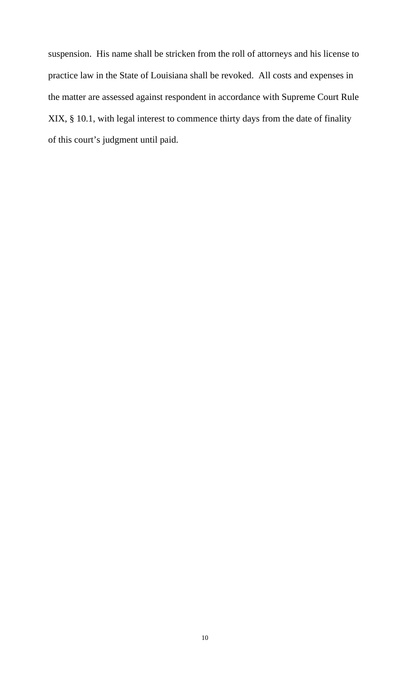suspension. His name shall be stricken from the roll of attorneys and his license to practice law in the State of Louisiana shall be revoked. All costs and expenses in the matter are assessed against respondent in accordance with Supreme Court Rule XIX, § 10.1, with legal interest to commence thirty days from the date of finality of this court's judgment until paid.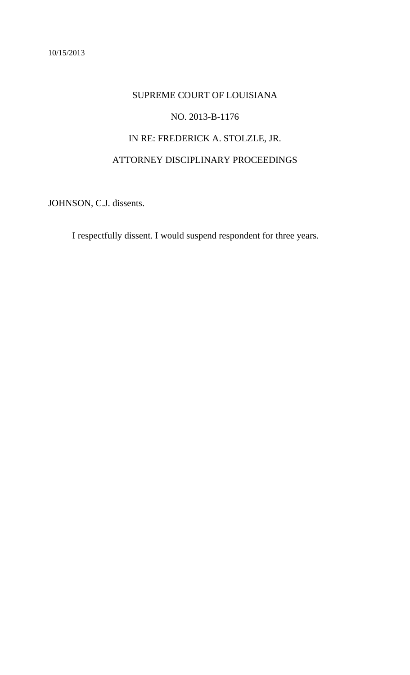# <span id="page-11-0"></span>SUPREME COURT OF LOUISIANA NO. 2013-B-1176 IN RE: FREDERICK A. STOLZLE, JR. ATTORNEY DISCIPLINARY PROCEEDINGS

JOHNSON, C.J. dissents.

I respectfully dissent. I would suspend respondent for three years.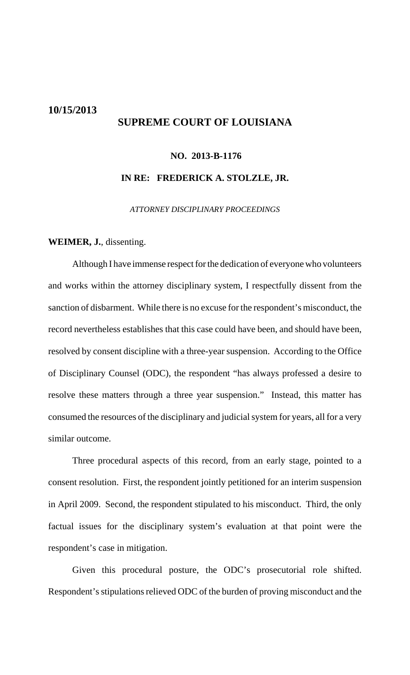# <span id="page-12-0"></span>**10/15/2013 SUPREME COURT OF LOUISIANA**

# **NO. 2013-B-1176**

#### **IN RE: FREDERICK A. STOLZLE, JR.**

*ATTORNEY DISCIPLINARY PROCEEDINGS*

#### **WEIMER, J.**, dissenting.

Although I have immense respect for the dedication of everyone who volunteers and works within the attorney disciplinary system, I respectfully dissent from the sanction of disbarment. While there is no excuse for the respondent's misconduct, the record nevertheless establishes that this case could have been, and should have been, resolved by consent discipline with a three-year suspension. According to the Office of Disciplinary Counsel (ODC), the respondent "has always professed a desire to resolve these matters through a three year suspension." Instead, this matter has consumed the resources of the disciplinary and judicial system for years, all for a very similar outcome.

Three procedural aspects of this record, from an early stage, pointed to a consent resolution. First, the respondent jointly petitioned for an interim suspension in April 2009. Second, the respondent stipulated to his misconduct. Third, the only factual issues for the disciplinary system's evaluation at that point were the respondent's case in mitigation.

Given this procedural posture, the ODC's prosecutorial role shifted. Respondent's stipulations relieved ODC of the burden of proving misconduct and the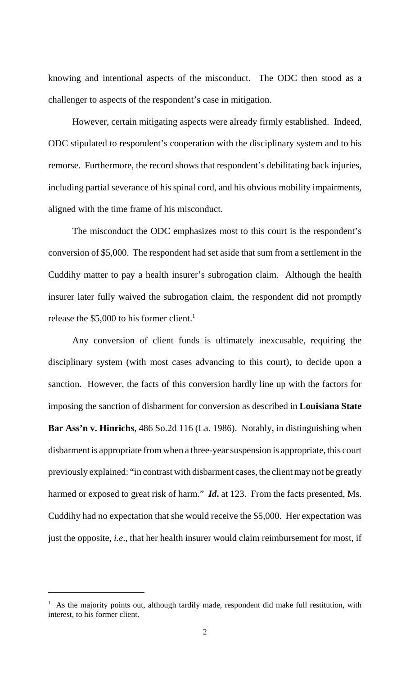knowing and intentional aspects of the misconduct. The ODC then stood as a challenger to aspects of the respondent's case in mitigation.

However, certain mitigating aspects were already firmly established. Indeed, ODC stipulated to respondent's cooperation with the disciplinary system and to his remorse. Furthermore, the record shows that respondent's debilitating back injuries, including partial severance of his spinal cord, and his obvious mobility impairments, aligned with the time frame of his misconduct.

The misconduct the ODC emphasizes most to this court is the respondent's conversion of \$5,000. The respondent had set aside that sum from a settlement in the Cuddihy matter to pay a health insurer's subrogation claim. Although the health insurer later fully waived the subrogation claim, the respondent did not promptly release the \$5,000 to his former client.<sup>1</sup>

Any conversion of client funds is ultimately inexcusable, requiring the disciplinary system (with most cases advancing to this court), to decide upon a sanction. However, the facts of this conversion hardly line up with the factors for imposing the sanction of disbarment for conversion as described in **Louisiana State Bar Ass'n v. Hinrichs**, 486 So.2d 116 (La. 1986). Notably, in distinguishing when disbarment is appropriate from when a three-year suspension is appropriate, this court previously explained: "in contrast with disbarment cases, the client may not be greatly harmed or exposed to great risk of harm." *Id***.** at 123. From the facts presented, Ms. Cuddihy had no expectation that she would receive the \$5,000. Her expectation was just the opposite, *i.e*., that her health insurer would claim reimbursement for most, if

<sup>&</sup>lt;sup>1</sup> As the majority points out, although tardily made, respondent did make full restitution, with interest, to his former client.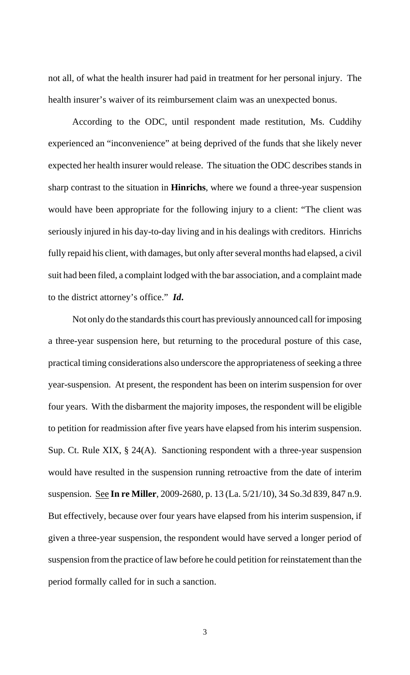not all, of what the health insurer had paid in treatment for her personal injury. The health insurer's waiver of its reimbursement claim was an unexpected bonus.

According to the ODC, until respondent made restitution, Ms. Cuddihy experienced an "inconvenience" at being deprived of the funds that she likely never expected her health insurer would release. The situation the ODC describes stands in sharp contrast to the situation in **Hinrichs**, where we found a three-year suspension would have been appropriate for the following injury to a client: "The client was seriously injured in his day-to-day living and in his dealings with creditors. Hinrichs fully repaid his client, with damages, but only after several months had elapsed, a civil suit had been filed, a complaint lodged with the bar association, and a complaint made to the district attorney's office." *Id***.**

Not only do the standards this court has previously announced call for imposing a three-year suspension here, but returning to the procedural posture of this case, practical timing considerations also underscore the appropriateness of seeking a three year-suspension. At present, the respondent has been on interim suspension for over four years. With the disbarment the majority imposes, the respondent will be eligible to petition for readmission after five years have elapsed from his interim suspension. Sup. Ct. Rule XIX, § 24(A). Sanctioning respondent with a three-year suspension would have resulted in the suspension running retroactive from the date of interim suspension. See **In re Miller**, 2009-2680, p. 13 (La. 5/21/10), 34 So.3d 839, 847 n.9. But effectively, because over four years have elapsed from his interim suspension, if given a three-year suspension, the respondent would have served a longer period of suspension from the practice of law before he could petition for reinstatement than the period formally called for in such a sanction.